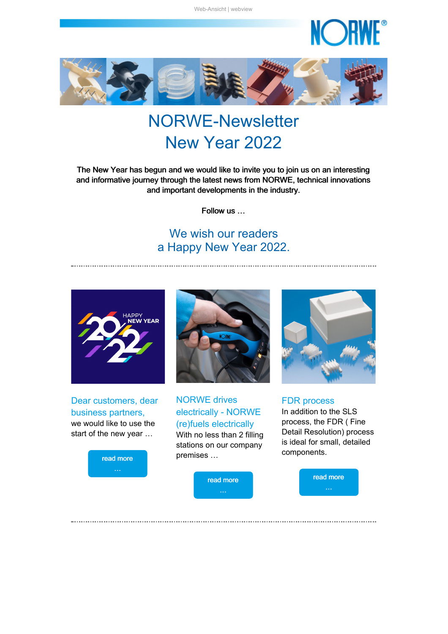

<span id="page-0-1"></span>

# NORWE-Newsletter New Year 2022

The New Year has begun and we would like to invite you to join us on an interesting and informative journey through the latest news from NORWE, technical innovations and important developments in the industry.

Follow us …

## We wish our readers a Happy New Year 2022.



Dear customers, dear business partners, we would like to use the start of the new year …

read [more](#page-0-0)



NORWE drives electrically - NORWE (re)fuels electrically With no less than 2 filling stations on our company premises …



<span id="page-0-0"></span>



FDR process In addition to the SLS process, the FDR ( Fine Detail Resolution) process is ideal for small, detailed components.

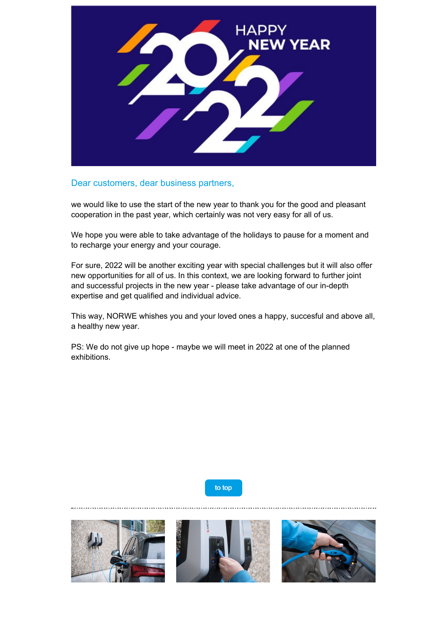

#### Dear customers, dear business partners,

we would like to use the start of the new year to thank you for the good and pleasant cooperation in the past year, which certainly was not very easy for all of us.

We hope you were able to take advantage of the holidays to pause for a moment and to recharge your energy and your courage.

For sure, 2022 will be another exciting year with special challenges but it will also offer new opportunities for all of us. In this context, we are looking forward to further joint and successful projects in the new year - please take advantage of our in-depth expertise and get qualified and individual advice.

This way, NORWE whishes you and your loved ones a happy, succesful and above all, a healthy new year.

PS: We do not give up hope - maybe we will meet in 2022 at one of the planned exhibitions.

to [top](#page-0-1)

<span id="page-1-0"></span>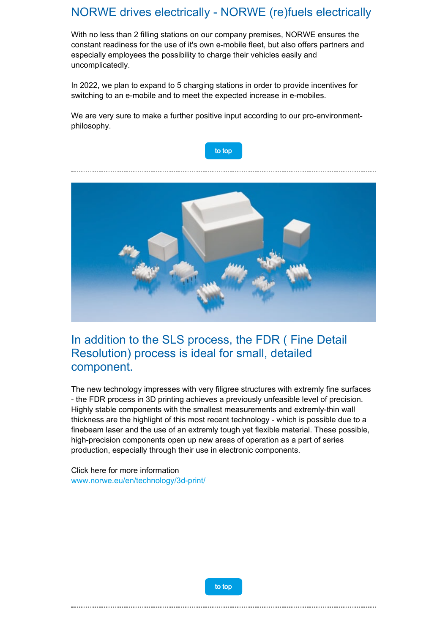#### NORWE drives electrically - NORWE (re)fuels electrically

With no less than 2 filling stations on our company premises, NORWE ensures the constant readiness for the use of it's own e-mobile fleet, but also offers partners and especially employees the possibility to charge their vehicles easily and uncomplicatedly.

In 2022, we plan to expand to 5 charging stations in order to provide incentives for switching to an e-mobile and to meet the expected increase in e-mobiles.

We are very sure to make a further positive input according to our pro-environmentphilosophy.



<span id="page-2-0"></span>

### In addition to the SLS process, the FDR ( Fine Detail Resolution) process is ideal for small, detailed component.

The new technology impresses with very filigree structures with extremly fine surfaces - the FDR process in 3D printing achieves a previously unfeasible level of precision. Highly stable components with the smallest measurements and extremly-thin wall thickness are the highlight of this most recent technology - which is possible due to a finebeam laser and the use of an extremly tough yet flexible material. These possible, high-precision components open up new areas of operation as a part of series production, especially through their use in electronic components.

Click here for more information [www.norwe.eu/en/technology/3d-print/](https://taadea104.emailsys1a.net/c/177/4848859/0/0/0/251779/0416e5048f.html?testmail=yes)